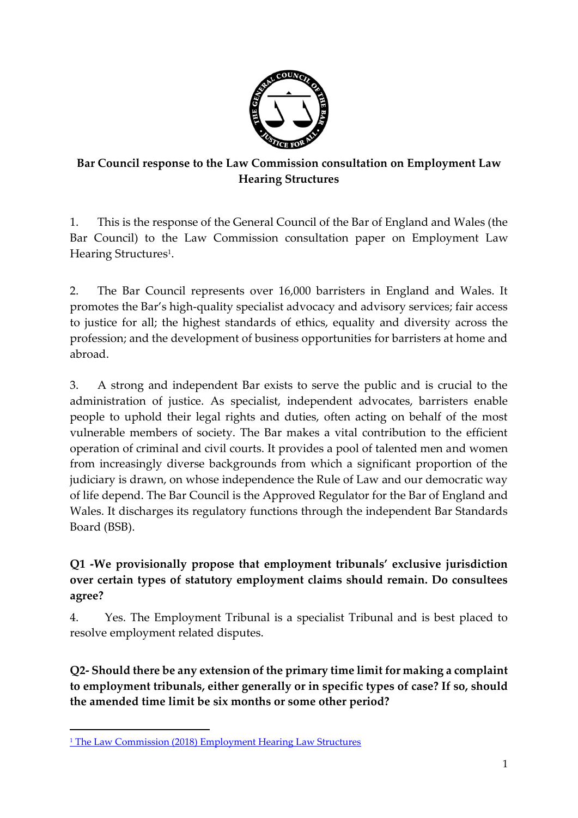

### **Bar Council response to the Law Commission consultation on Employment Law Hearing Structures**

1. This is the response of the General Council of the Bar of England and Wales (the Bar Council) to the Law Commission consultation paper on Employment Law Hearing Structures<sup>1</sup>.

2. The Bar Council represents over 16,000 barristers in England and Wales. It promotes the Bar's high-quality specialist advocacy and advisory services; fair access to justice for all; the highest standards of ethics, equality and diversity across the profession; and the development of business opportunities for barristers at home and abroad.

3. A strong and independent Bar exists to serve the public and is crucial to the administration of justice. As specialist, independent advocates, barristers enable people to uphold their legal rights and duties, often acting on behalf of the most vulnerable members of society. The Bar makes a vital contribution to the efficient operation of criminal and civil courts. It provides a pool of talented men and women from increasingly diverse backgrounds from which a significant proportion of the judiciary is drawn, on whose independence the Rule of Law and our democratic way of life depend. The Bar Council is the Approved Regulator for the Bar of England and Wales. It discharges its regulatory functions through the independent Bar Standards Board (BSB).

# **Q1 -We provisionally propose that employment tribunals' exclusive jurisdiction over certain types of statutory employment claims should remain. Do consultees agree?**

4. Yes. The Employment Tribunal is a specialist Tribunal and is best placed to resolve employment related disputes.

**Q2- Should there be any extension of the primary time limit for making a complaint to employment tribunals, either generally or in specific types of case? If so, should the amended time limit be six months or some other period?**

 $\overline{a}$ <sup>1</sup> [The Law Commission \(2018\) Employment Hearing Law Structures](https://www.lawcom.gov.uk/project/employment-law-hearing-structures/)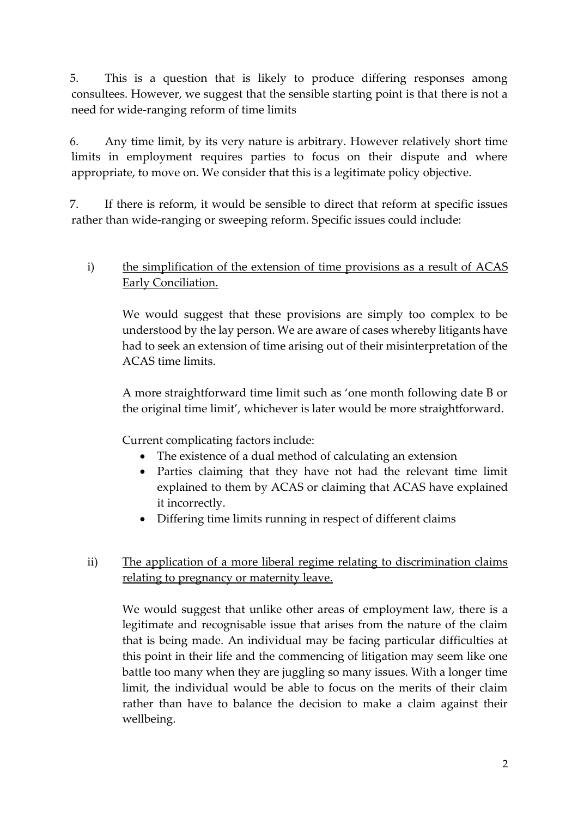5. This is a question that is likely to produce differing responses among consultees. However, we suggest that the sensible starting point is that there is not a need for wide-ranging reform of time limits

6. Any time limit, by its very nature is arbitrary. However relatively short time limits in employment requires parties to focus on their dispute and where appropriate, to move on. We consider that this is a legitimate policy objective.

7. If there is reform, it would be sensible to direct that reform at specific issues rather than wide-ranging or sweeping reform. Specific issues could include:

#### i) the simplification of the extension of time provisions as a result of ACAS Early Conciliation.

We would suggest that these provisions are simply too complex to be understood by the lay person. We are aware of cases whereby litigants have had to seek an extension of time arising out of their misinterpretation of the ACAS time limits.

A more straightforward time limit such as 'one month following date B or the original time limit', whichever is later would be more straightforward.

Current complicating factors include:

- The existence of a dual method of calculating an extension
- Parties claiming that they have not had the relevant time limit explained to them by ACAS or claiming that ACAS have explained it incorrectly.
- Differing time limits running in respect of different claims

#### ii) The application of a more liberal regime relating to discrimination claims relating to pregnancy or maternity leave.

We would suggest that unlike other areas of employment law, there is a legitimate and recognisable issue that arises from the nature of the claim that is being made. An individual may be facing particular difficulties at this point in their life and the commencing of litigation may seem like one battle too many when they are juggling so many issues. With a longer time limit, the individual would be able to focus on the merits of their claim rather than have to balance the decision to make a claim against their wellbeing.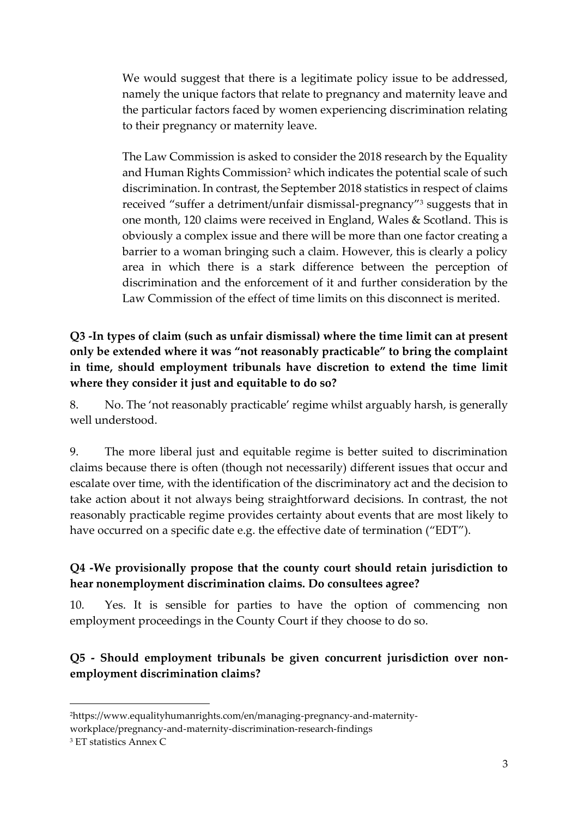We would suggest that there is a legitimate policy issue to be addressed, namely the unique factors that relate to pregnancy and maternity leave and the particular factors faced by women experiencing discrimination relating to their pregnancy or maternity leave.

The Law Commission is asked to consider the 2018 research by the Equality and Human Rights Commission<sup>2</sup> which indicates the potential scale of such discrimination. In contrast, the September 2018 statistics in respect of claims received "suffer a detriment/unfair dismissal-pregnancy"<sup>3</sup> suggests that in one month, 120 claims were received in England, Wales & Scotland. This is obviously a complex issue and there will be more than one factor creating a barrier to a woman bringing such a claim. However, this is clearly a policy area in which there is a stark difference between the perception of discrimination and the enforcement of it and further consideration by the Law Commission of the effect of time limits on this disconnect is merited.

**Q3 -In types of claim (such as unfair dismissal) where the time limit can at present only be extended where it was "not reasonably practicable" to bring the complaint in time, should employment tribunals have discretion to extend the time limit where they consider it just and equitable to do so?**

8. No. The 'not reasonably practicable' regime whilst arguably harsh, is generally well understood.

9. The more liberal just and equitable regime is better suited to discrimination claims because there is often (though not necessarily) different issues that occur and escalate over time, with the identification of the discriminatory act and the decision to take action about it not always being straightforward decisions. In contrast, the not reasonably practicable regime provides certainty about events that are most likely to have occurred on a specific date e.g. the effective date of termination ("EDT").

### **Q4 -We provisionally propose that the county court should retain jurisdiction to hear nonemployment discrimination claims. Do consultees agree?**

10. Yes. It is sensible for parties to have the option of commencing non employment proceedings in the County Court if they choose to do so.

### **Q5 - Should employment tribunals be given concurrent jurisdiction over nonemployment discrimination claims?**

**.** 

<sup>2</sup>https://www.equalityhumanrights.com/en/managing-pregnancy-and-maternityworkplace/pregnancy-and-maternity-discrimination-research-findings

<sup>3</sup> ET statistics Annex C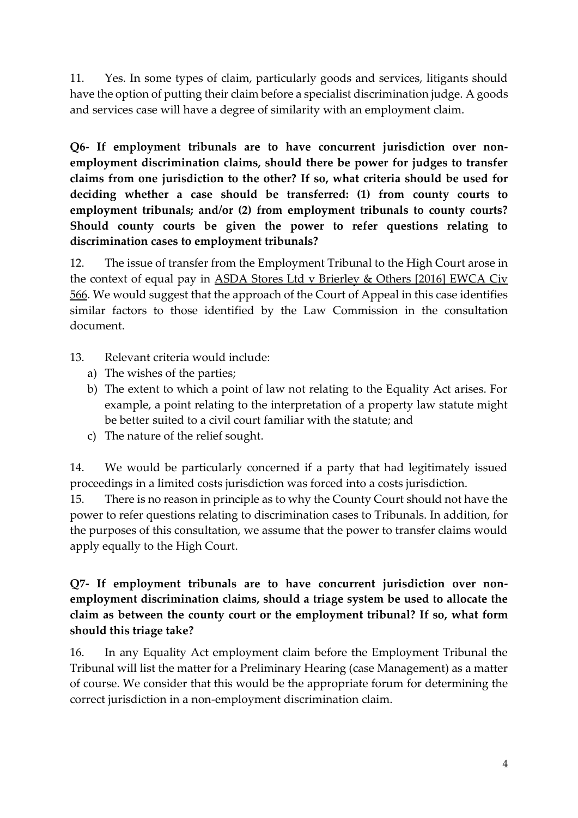11. Yes. In some types of claim, particularly goods and services, litigants should have the option of putting their claim before a specialist discrimination judge. A goods and services case will have a degree of similarity with an employment claim.

**Q6- If employment tribunals are to have concurrent jurisdiction over nonemployment discrimination claims, should there be power for judges to transfer claims from one jurisdiction to the other? If so, what criteria should be used for deciding whether a case should be transferred: (1) from county courts to employment tribunals; and/or (2) from employment tribunals to county courts? Should county courts be given the power to refer questions relating to discrimination cases to employment tribunals?**

12. The issue of transfer from the Employment Tribunal to the High Court arose in the context of equal pay in ASDA Stores Ltd v Brierley & Others [2016] EWCA Civ 566. We would suggest that the approach of the Court of Appeal in this case identifies similar factors to those identified by the Law Commission in the consultation document.

- 13. Relevant criteria would include:
	- a) The wishes of the parties;
	- b) The extent to which a point of law not relating to the Equality Act arises. For example, a point relating to the interpretation of a property law statute might be better suited to a civil court familiar with the statute; and
	- c) The nature of the relief sought.

14. We would be particularly concerned if a party that had legitimately issued proceedings in a limited costs jurisdiction was forced into a costs jurisdiction.

15. There is no reason in principle as to why the County Court should not have the power to refer questions relating to discrimination cases to Tribunals. In addition, for the purposes of this consultation, we assume that the power to transfer claims would apply equally to the High Court.

**Q7- If employment tribunals are to have concurrent jurisdiction over nonemployment discrimination claims, should a triage system be used to allocate the claim as between the county court or the employment tribunal? If so, what form should this triage take?**

16. In any Equality Act employment claim before the Employment Tribunal the Tribunal will list the matter for a Preliminary Hearing (case Management) as a matter of course. We consider that this would be the appropriate forum for determining the correct jurisdiction in a non-employment discrimination claim.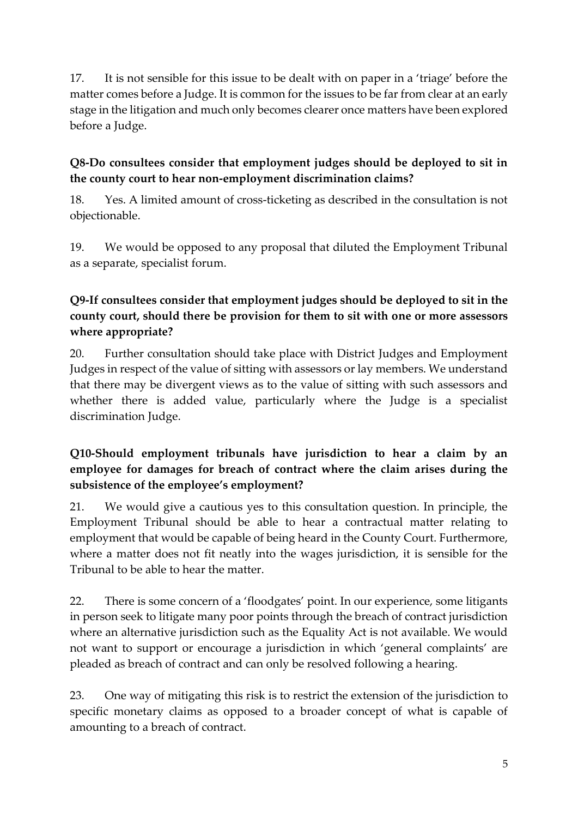17. It is not sensible for this issue to be dealt with on paper in a 'triage' before the matter comes before a Judge. It is common for the issues to be far from clear at an early stage in the litigation and much only becomes clearer once matters have been explored before a Judge.

### **Q8-Do consultees consider that employment judges should be deployed to sit in the county court to hear non-employment discrimination claims?**

18. Yes. A limited amount of cross-ticketing as described in the consultation is not objectionable.

19. We would be opposed to any proposal that diluted the Employment Tribunal as a separate, specialist forum.

# **Q9-If consultees consider that employment judges should be deployed to sit in the county court, should there be provision for them to sit with one or more assessors where appropriate?**

20. Further consultation should take place with District Judges and Employment Judges in respect of the value of sitting with assessors or lay members. We understand that there may be divergent views as to the value of sitting with such assessors and whether there is added value, particularly where the Judge is a specialist discrimination Judge.

## **Q10-Should employment tribunals have jurisdiction to hear a claim by an employee for damages for breach of contract where the claim arises during the subsistence of the employee's employment?**

21. We would give a cautious yes to this consultation question. In principle, the Employment Tribunal should be able to hear a contractual matter relating to employment that would be capable of being heard in the County Court. Furthermore, where a matter does not fit neatly into the wages jurisdiction, it is sensible for the Tribunal to be able to hear the matter.

22. There is some concern of a 'floodgates' point. In our experience, some litigants in person seek to litigate many poor points through the breach of contract jurisdiction where an alternative jurisdiction such as the Equality Act is not available. We would not want to support or encourage a jurisdiction in which 'general complaints' are pleaded as breach of contract and can only be resolved following a hearing.

23. One way of mitigating this risk is to restrict the extension of the jurisdiction to specific monetary claims as opposed to a broader concept of what is capable of amounting to a breach of contract.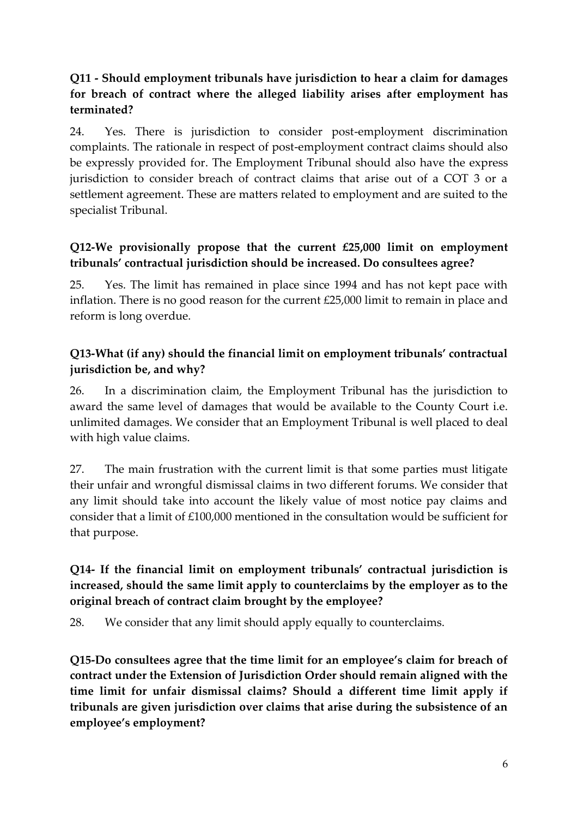## **Q11 - Should employment tribunals have jurisdiction to hear a claim for damages for breach of contract where the alleged liability arises after employment has terminated?**

24. Yes. There is jurisdiction to consider post-employment discrimination complaints. The rationale in respect of post-employment contract claims should also be expressly provided for. The Employment Tribunal should also have the express jurisdiction to consider breach of contract claims that arise out of a COT 3 or a settlement agreement. These are matters related to employment and are suited to the specialist Tribunal.

# **Q12-We provisionally propose that the current £25,000 limit on employment tribunals' contractual jurisdiction should be increased. Do consultees agree?**

25. Yes. The limit has remained in place since 1994 and has not kept pace with inflation. There is no good reason for the current £25,000 limit to remain in place and reform is long overdue.

# **Q13-What (if any) should the financial limit on employment tribunals' contractual jurisdiction be, and why?**

26. In a discrimination claim, the Employment Tribunal has the jurisdiction to award the same level of damages that would be available to the County Court i.e. unlimited damages. We consider that an Employment Tribunal is well placed to deal with high value claims.

27. The main frustration with the current limit is that some parties must litigate their unfair and wrongful dismissal claims in two different forums. We consider that any limit should take into account the likely value of most notice pay claims and consider that a limit of £100,000 mentioned in the consultation would be sufficient for that purpose.

## **Q14- If the financial limit on employment tribunals' contractual jurisdiction is increased, should the same limit apply to counterclaims by the employer as to the original breach of contract claim brought by the employee?**

28. We consider that any limit should apply equally to counterclaims.

**Q15-Do consultees agree that the time limit for an employee's claim for breach of contract under the Extension of Jurisdiction Order should remain aligned with the time limit for unfair dismissal claims? Should a different time limit apply if tribunals are given jurisdiction over claims that arise during the subsistence of an employee's employment?**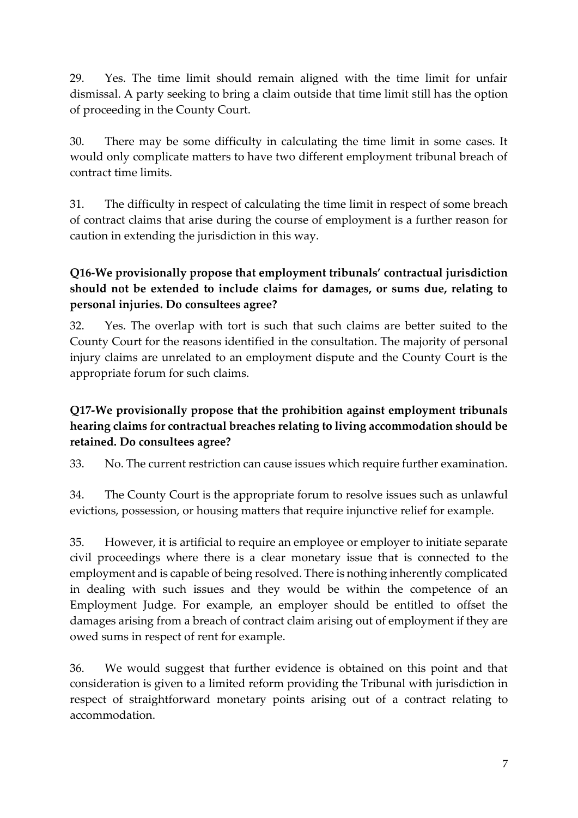29. Yes. The time limit should remain aligned with the time limit for unfair dismissal. A party seeking to bring a claim outside that time limit still has the option of proceeding in the County Court.

30. There may be some difficulty in calculating the time limit in some cases. It would only complicate matters to have two different employment tribunal breach of contract time limits.

31. The difficulty in respect of calculating the time limit in respect of some breach of contract claims that arise during the course of employment is a further reason for caution in extending the jurisdiction in this way.

# **Q16-We provisionally propose that employment tribunals' contractual jurisdiction should not be extended to include claims for damages, or sums due, relating to personal injuries. Do consultees agree?**

32. Yes. The overlap with tort is such that such claims are better suited to the County Court for the reasons identified in the consultation. The majority of personal injury claims are unrelated to an employment dispute and the County Court is the appropriate forum for such claims.

# **Q17-We provisionally propose that the prohibition against employment tribunals hearing claims for contractual breaches relating to living accommodation should be retained. Do consultees agree?**

33. No. The current restriction can cause issues which require further examination.

34. The County Court is the appropriate forum to resolve issues such as unlawful evictions, possession, or housing matters that require injunctive relief for example.

35. However, it is artificial to require an employee or employer to initiate separate civil proceedings where there is a clear monetary issue that is connected to the employment and is capable of being resolved. There is nothing inherently complicated in dealing with such issues and they would be within the competence of an Employment Judge. For example, an employer should be entitled to offset the damages arising from a breach of contract claim arising out of employment if they are owed sums in respect of rent for example.

36. We would suggest that further evidence is obtained on this point and that consideration is given to a limited reform providing the Tribunal with jurisdiction in respect of straightforward monetary points arising out of a contract relating to accommodation.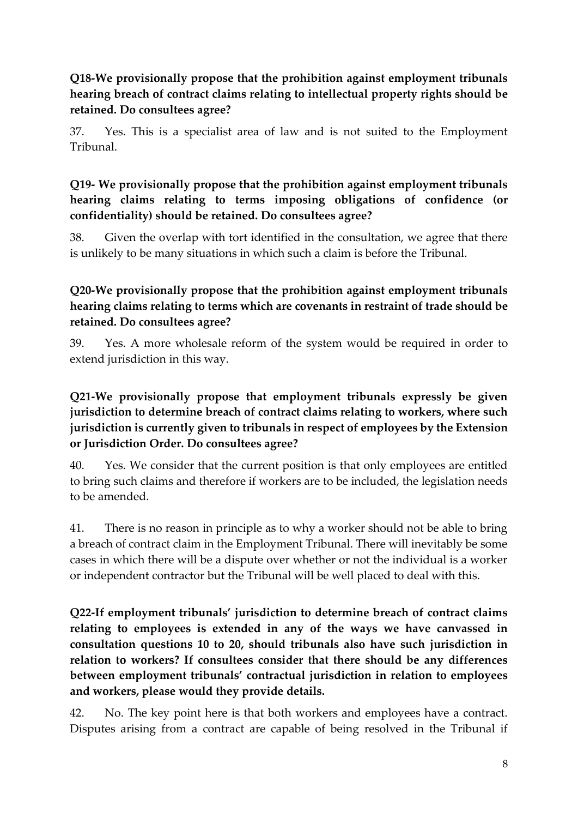## **Q18-We provisionally propose that the prohibition against employment tribunals hearing breach of contract claims relating to intellectual property rights should be retained. Do consultees agree?**

37. Yes. This is a specialist area of law and is not suited to the Employment Tribunal.

# **Q19- We provisionally propose that the prohibition against employment tribunals hearing claims relating to terms imposing obligations of confidence (or confidentiality) should be retained. Do consultees agree?**

38. Given the overlap with tort identified in the consultation, we agree that there is unlikely to be many situations in which such a claim is before the Tribunal.

# **Q20-We provisionally propose that the prohibition against employment tribunals hearing claims relating to terms which are covenants in restraint of trade should be retained. Do consultees agree?**

39. Yes. A more wholesale reform of the system would be required in order to extend jurisdiction in this way.

## **Q21-We provisionally propose that employment tribunals expressly be given jurisdiction to determine breach of contract claims relating to workers, where such jurisdiction is currently given to tribunals in respect of employees by the Extension or Jurisdiction Order. Do consultees agree?**

40. Yes. We consider that the current position is that only employees are entitled to bring such claims and therefore if workers are to be included, the legislation needs to be amended.

41. There is no reason in principle as to why a worker should not be able to bring a breach of contract claim in the Employment Tribunal. There will inevitably be some cases in which there will be a dispute over whether or not the individual is a worker or independent contractor but the Tribunal will be well placed to deal with this.

**Q22-If employment tribunals' jurisdiction to determine breach of contract claims relating to employees is extended in any of the ways we have canvassed in consultation questions 10 to 20, should tribunals also have such jurisdiction in relation to workers? If consultees consider that there should be any differences between employment tribunals' contractual jurisdiction in relation to employees and workers, please would they provide details.**

42. No. The key point here is that both workers and employees have a contract. Disputes arising from a contract are capable of being resolved in the Tribunal if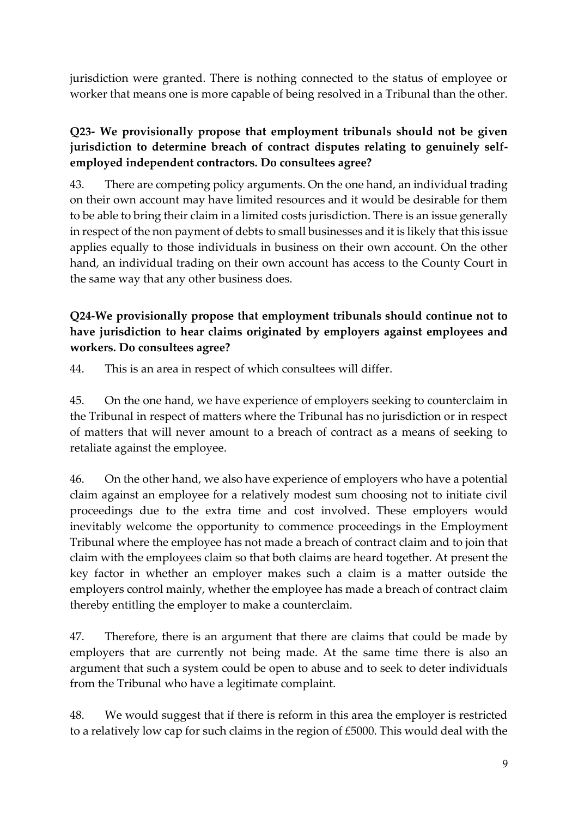jurisdiction were granted. There is nothing connected to the status of employee or worker that means one is more capable of being resolved in a Tribunal than the other.

## **Q23- We provisionally propose that employment tribunals should not be given jurisdiction to determine breach of contract disputes relating to genuinely selfemployed independent contractors. Do consultees agree?**

43. There are competing policy arguments. On the one hand, an individual trading on their own account may have limited resources and it would be desirable for them to be able to bring their claim in a limited costs jurisdiction. There is an issue generally in respect of the non payment of debts to small businesses and it is likely that this issue applies equally to those individuals in business on their own account. On the other hand, an individual trading on their own account has access to the County Court in the same way that any other business does.

# **Q24-We provisionally propose that employment tribunals should continue not to have jurisdiction to hear claims originated by employers against employees and workers. Do consultees agree?**

44. This is an area in respect of which consultees will differ.

45. On the one hand, we have experience of employers seeking to counterclaim in the Tribunal in respect of matters where the Tribunal has no jurisdiction or in respect of matters that will never amount to a breach of contract as a means of seeking to retaliate against the employee.

46. On the other hand, we also have experience of employers who have a potential claim against an employee for a relatively modest sum choosing not to initiate civil proceedings due to the extra time and cost involved. These employers would inevitably welcome the opportunity to commence proceedings in the Employment Tribunal where the employee has not made a breach of contract claim and to join that claim with the employees claim so that both claims are heard together. At present the key factor in whether an employer makes such a claim is a matter outside the employers control mainly, whether the employee has made a breach of contract claim thereby entitling the employer to make a counterclaim.

47. Therefore, there is an argument that there are claims that could be made by employers that are currently not being made. At the same time there is also an argument that such a system could be open to abuse and to seek to deter individuals from the Tribunal who have a legitimate complaint.

48. We would suggest that if there is reform in this area the employer is restricted to a relatively low cap for such claims in the region of £5000. This would deal with the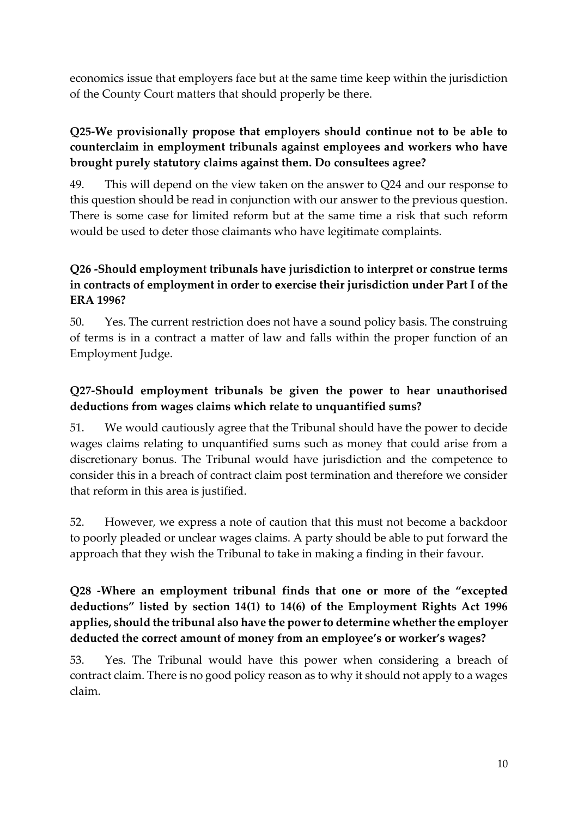economics issue that employers face but at the same time keep within the jurisdiction of the County Court matters that should properly be there.

## **Q25-We provisionally propose that employers should continue not to be able to counterclaim in employment tribunals against employees and workers who have brought purely statutory claims against them. Do consultees agree?**

49. This will depend on the view taken on the answer to Q24 and our response to this question should be read in conjunction with our answer to the previous question. There is some case for limited reform but at the same time a risk that such reform would be used to deter those claimants who have legitimate complaints.

## **Q26 -Should employment tribunals have jurisdiction to interpret or construe terms in contracts of employment in order to exercise their jurisdiction under Part I of the ERA 1996?**

50. Yes. The current restriction does not have a sound policy basis. The construing of terms is in a contract a matter of law and falls within the proper function of an Employment Judge.

### **Q27-Should employment tribunals be given the power to hear unauthorised deductions from wages claims which relate to unquantified sums?**

51. We would cautiously agree that the Tribunal should have the power to decide wages claims relating to unquantified sums such as money that could arise from a discretionary bonus. The Tribunal would have jurisdiction and the competence to consider this in a breach of contract claim post termination and therefore we consider that reform in this area is justified.

52. However, we express a note of caution that this must not become a backdoor to poorly pleaded or unclear wages claims. A party should be able to put forward the approach that they wish the Tribunal to take in making a finding in their favour.

# **Q28 -Where an employment tribunal finds that one or more of the "excepted deductions" listed by section 14(1) to 14(6) of the Employment Rights Act 1996 applies, should the tribunal also have the power to determine whether the employer deducted the correct amount of money from an employee's or worker's wages?**

53. Yes. The Tribunal would have this power when considering a breach of contract claim. There is no good policy reason as to why it should not apply to a wages claim.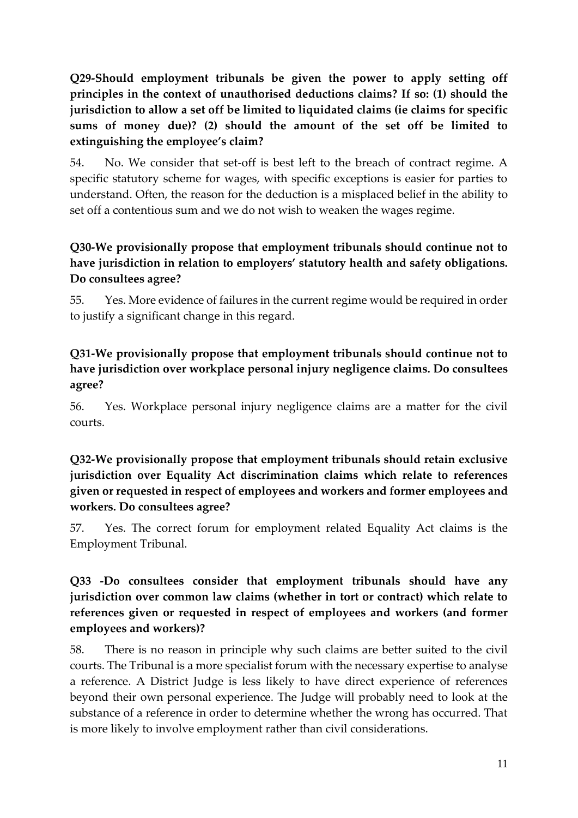# **Q29-Should employment tribunals be given the power to apply setting off principles in the context of unauthorised deductions claims? If so: (1) should the jurisdiction to allow a set off be limited to liquidated claims (ie claims for specific sums of money due)? (2) should the amount of the set off be limited to extinguishing the employee's claim?**

54. No. We consider that set-off is best left to the breach of contract regime. A specific statutory scheme for wages, with specific exceptions is easier for parties to understand. Often, the reason for the deduction is a misplaced belief in the ability to set off a contentious sum and we do not wish to weaken the wages regime.

### **Q30-We provisionally propose that employment tribunals should continue not to have jurisdiction in relation to employers' statutory health and safety obligations. Do consultees agree?**

55. Yes. More evidence of failures in the current regime would be required in order to justify a significant change in this regard.

## **Q31-We provisionally propose that employment tribunals should continue not to have jurisdiction over workplace personal injury negligence claims. Do consultees agree?**

56. Yes. Workplace personal injury negligence claims are a matter for the civil courts.

### **Q32-We provisionally propose that employment tribunals should retain exclusive jurisdiction over Equality Act discrimination claims which relate to references given or requested in respect of employees and workers and former employees and workers. Do consultees agree?**

57. Yes. The correct forum for employment related Equality Act claims is the Employment Tribunal.

## **Q33 -Do consultees consider that employment tribunals should have any jurisdiction over common law claims (whether in tort or contract) which relate to references given or requested in respect of employees and workers (and former employees and workers)?**

58. There is no reason in principle why such claims are better suited to the civil courts. The Tribunal is a more specialist forum with the necessary expertise to analyse a reference. A District Judge is less likely to have direct experience of references beyond their own personal experience. The Judge will probably need to look at the substance of a reference in order to determine whether the wrong has occurred. That is more likely to involve employment rather than civil considerations.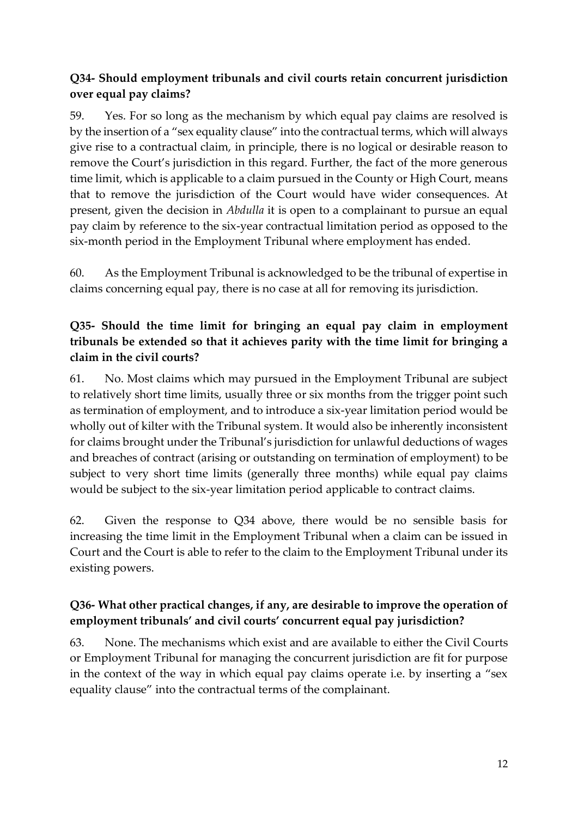## **Q34- Should employment tribunals and civil courts retain concurrent jurisdiction over equal pay claims?**

59. Yes. For so long as the mechanism by which equal pay claims are resolved is by the insertion of a "sex equality clause" into the contractual terms, which will always give rise to a contractual claim, in principle, there is no logical or desirable reason to remove the Court's jurisdiction in this regard. Further, the fact of the more generous time limit, which is applicable to a claim pursued in the County or High Court, means that to remove the jurisdiction of the Court would have wider consequences. At present, given the decision in *Abdulla* it is open to a complainant to pursue an equal pay claim by reference to the six-year contractual limitation period as opposed to the six-month period in the Employment Tribunal where employment has ended.

60. As the Employment Tribunal is acknowledged to be the tribunal of expertise in claims concerning equal pay, there is no case at all for removing its jurisdiction.

# **Q35- Should the time limit for bringing an equal pay claim in employment tribunals be extended so that it achieves parity with the time limit for bringing a claim in the civil courts?**

61. No. Most claims which may pursued in the Employment Tribunal are subject to relatively short time limits, usually three or six months from the trigger point such as termination of employment, and to introduce a six-year limitation period would be wholly out of kilter with the Tribunal system. It would also be inherently inconsistent for claims brought under the Tribunal's jurisdiction for unlawful deductions of wages and breaches of contract (arising or outstanding on termination of employment) to be subject to very short time limits (generally three months) while equal pay claims would be subject to the six-year limitation period applicable to contract claims.

62. Given the response to Q34 above, there would be no sensible basis for increasing the time limit in the Employment Tribunal when a claim can be issued in Court and the Court is able to refer to the claim to the Employment Tribunal under its existing powers.

# **Q36- What other practical changes, if any, are desirable to improve the operation of employment tribunals' and civil courts' concurrent equal pay jurisdiction?**

63. None. The mechanisms which exist and are available to either the Civil Courts or Employment Tribunal for managing the concurrent jurisdiction are fit for purpose in the context of the way in which equal pay claims operate i.e. by inserting a "sex equality clause" into the contractual terms of the complainant.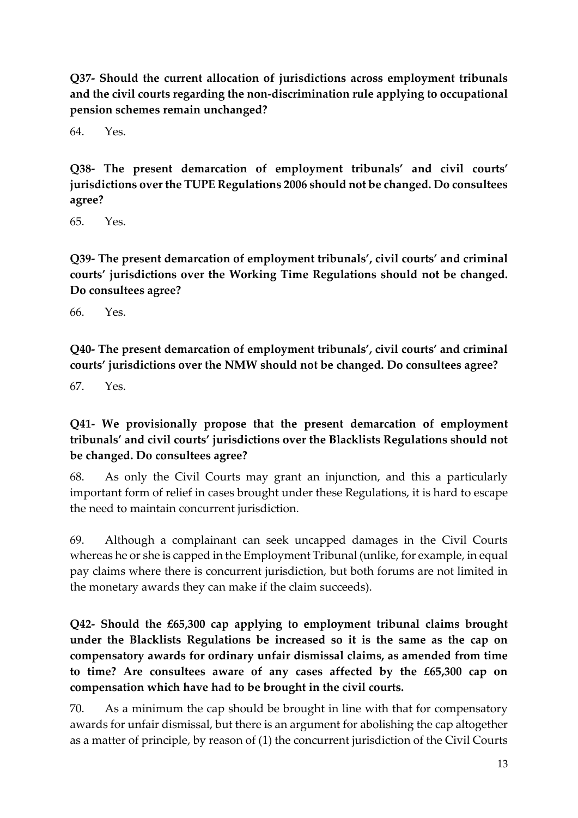**Q37- Should the current allocation of jurisdictions across employment tribunals and the civil courts regarding the non-discrimination rule applying to occupational pension schemes remain unchanged?**

64. Yes.

**Q38- The present demarcation of employment tribunals' and civil courts' jurisdictions over the TUPE Regulations 2006 should not be changed. Do consultees agree?**

65. Yes.

**Q39- The present demarcation of employment tribunals', civil courts' and criminal courts' jurisdictions over the Working Time Regulations should not be changed. Do consultees agree?**

66. Yes.

**Q40- The present demarcation of employment tribunals', civil courts' and criminal courts' jurisdictions over the NMW should not be changed. Do consultees agree?**

67. Yes.

# **Q41- We provisionally propose that the present demarcation of employment tribunals' and civil courts' jurisdictions over the Blacklists Regulations should not be changed. Do consultees agree?**

68. As only the Civil Courts may grant an injunction, and this a particularly important form of relief in cases brought under these Regulations, it is hard to escape the need to maintain concurrent jurisdiction.

69. Although a complainant can seek uncapped damages in the Civil Courts whereas he or she is capped in the Employment Tribunal (unlike, for example, in equal pay claims where there is concurrent jurisdiction, but both forums are not limited in the monetary awards they can make if the claim succeeds).

**Q42- Should the £65,300 cap applying to employment tribunal claims brought under the Blacklists Regulations be increased so it is the same as the cap on compensatory awards for ordinary unfair dismissal claims, as amended from time to time? Are consultees aware of any cases affected by the £65,300 cap on compensation which have had to be brought in the civil courts.**

70. As a minimum the cap should be brought in line with that for compensatory awards for unfair dismissal, but there is an argument for abolishing the cap altogether as a matter of principle, by reason of (1) the concurrent jurisdiction of the Civil Courts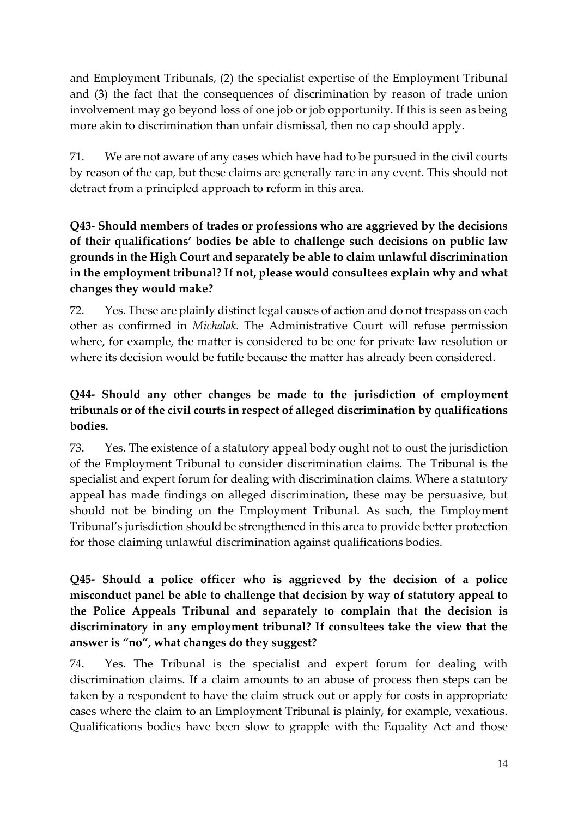and Employment Tribunals, (2) the specialist expertise of the Employment Tribunal and (3) the fact that the consequences of discrimination by reason of trade union involvement may go beyond loss of one job or job opportunity. If this is seen as being more akin to discrimination than unfair dismissal, then no cap should apply.

71. We are not aware of any cases which have had to be pursued in the civil courts by reason of the cap, but these claims are generally rare in any event. This should not detract from a principled approach to reform in this area.

# **Q43- Should members of trades or professions who are aggrieved by the decisions of their qualifications' bodies be able to challenge such decisions on public law grounds in the High Court and separately be able to claim unlawful discrimination in the employment tribunal? If not, please would consultees explain why and what changes they would make?**

72. Yes. These are plainly distinct legal causes of action and do not trespass on each other as confirmed in *Michalak*. The Administrative Court will refuse permission where, for example, the matter is considered to be one for private law resolution or where its decision would be futile because the matter has already been considered.

# **Q44- Should any other changes be made to the jurisdiction of employment tribunals or of the civil courts in respect of alleged discrimination by qualifications bodies.**

73. Yes. The existence of a statutory appeal body ought not to oust the jurisdiction of the Employment Tribunal to consider discrimination claims. The Tribunal is the specialist and expert forum for dealing with discrimination claims. Where a statutory appeal has made findings on alleged discrimination, these may be persuasive, but should not be binding on the Employment Tribunal. As such, the Employment Tribunal's jurisdiction should be strengthened in this area to provide better protection for those claiming unlawful discrimination against qualifications bodies.

## **Q45- Should a police officer who is aggrieved by the decision of a police misconduct panel be able to challenge that decision by way of statutory appeal to the Police Appeals Tribunal and separately to complain that the decision is discriminatory in any employment tribunal? If consultees take the view that the answer is "no", what changes do they suggest?**

74. Yes. The Tribunal is the specialist and expert forum for dealing with discrimination claims. If a claim amounts to an abuse of process then steps can be taken by a respondent to have the claim struck out or apply for costs in appropriate cases where the claim to an Employment Tribunal is plainly, for example, vexatious. Qualifications bodies have been slow to grapple with the Equality Act and those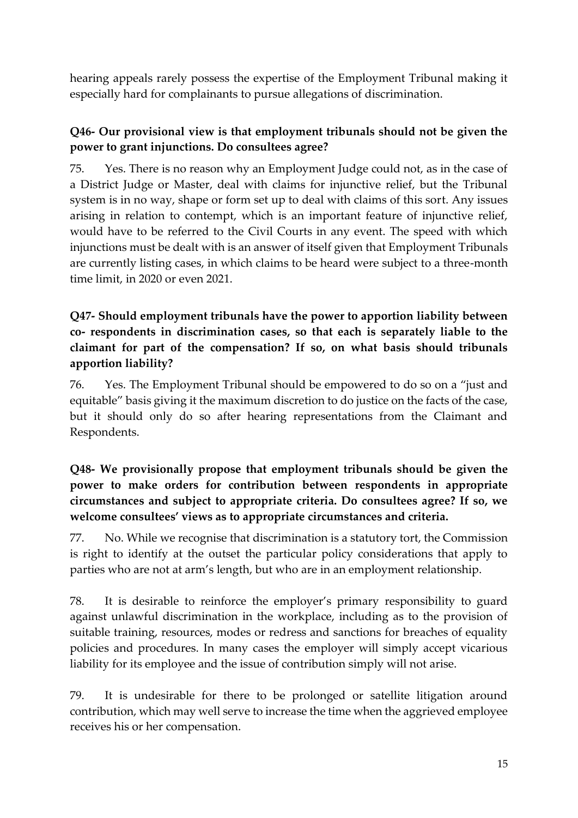hearing appeals rarely possess the expertise of the Employment Tribunal making it especially hard for complainants to pursue allegations of discrimination.

#### **Q46- Our provisional view is that employment tribunals should not be given the power to grant injunctions. Do consultees agree?**

75. Yes. There is no reason why an Employment Judge could not, as in the case of a District Judge or Master, deal with claims for injunctive relief, but the Tribunal system is in no way, shape or form set up to deal with claims of this sort. Any issues arising in relation to contempt, which is an important feature of injunctive relief, would have to be referred to the Civil Courts in any event. The speed with which injunctions must be dealt with is an answer of itself given that Employment Tribunals are currently listing cases, in which claims to be heard were subject to a three-month time limit, in 2020 or even 2021.

## **Q47- Should employment tribunals have the power to apportion liability between co- respondents in discrimination cases, so that each is separately liable to the claimant for part of the compensation? If so, on what basis should tribunals apportion liability?**

76. Yes. The Employment Tribunal should be empowered to do so on a "just and equitable" basis giving it the maximum discretion to do justice on the facts of the case, but it should only do so after hearing representations from the Claimant and Respondents.

### **Q48- We provisionally propose that employment tribunals should be given the power to make orders for contribution between respondents in appropriate circumstances and subject to appropriate criteria. Do consultees agree? If so, we welcome consultees' views as to appropriate circumstances and criteria.**

77. No. While we recognise that discrimination is a statutory tort, the Commission is right to identify at the outset the particular policy considerations that apply to parties who are not at arm's length, but who are in an employment relationship.

78. It is desirable to reinforce the employer's primary responsibility to guard against unlawful discrimination in the workplace, including as to the provision of suitable training, resources, modes or redress and sanctions for breaches of equality policies and procedures. In many cases the employer will simply accept vicarious liability for its employee and the issue of contribution simply will not arise.

79. It is undesirable for there to be prolonged or satellite litigation around contribution, which may well serve to increase the time when the aggrieved employee receives his or her compensation.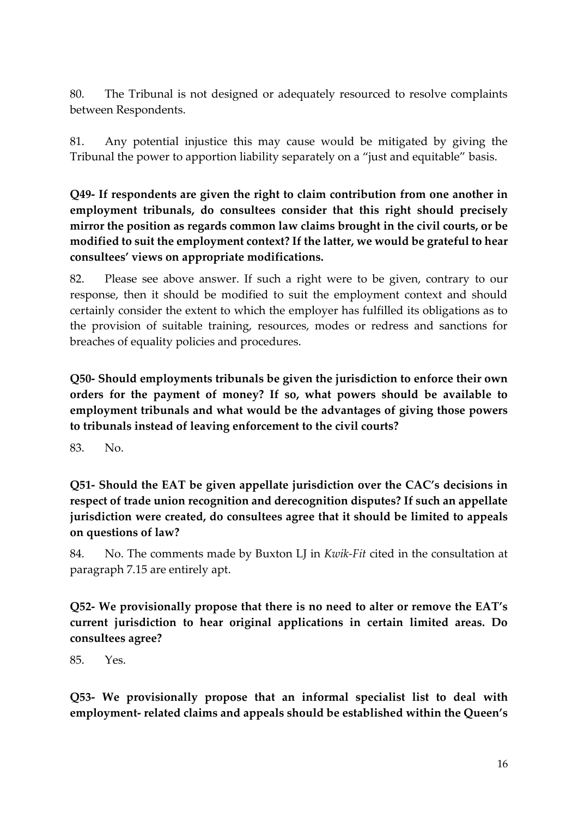80. The Tribunal is not designed or adequately resourced to resolve complaints between Respondents.

81. Any potential injustice this may cause would be mitigated by giving the Tribunal the power to apportion liability separately on a "just and equitable" basis.

**Q49- If respondents are given the right to claim contribution from one another in employment tribunals, do consultees consider that this right should precisely mirror the position as regards common law claims brought in the civil courts, or be modified to suit the employment context? If the latter, we would be grateful to hear consultees' views on appropriate modifications.** 

82. Please see above answer. If such a right were to be given, contrary to our response, then it should be modified to suit the employment context and should certainly consider the extent to which the employer has fulfilled its obligations as to the provision of suitable training, resources, modes or redress and sanctions for breaches of equality policies and procedures.

**Q50- Should employments tribunals be given the jurisdiction to enforce their own orders for the payment of money? If so, what powers should be available to employment tribunals and what would be the advantages of giving those powers to tribunals instead of leaving enforcement to the civil courts?** 

83. No.

**Q51- Should the EAT be given appellate jurisdiction over the CAC's decisions in respect of trade union recognition and derecognition disputes? If such an appellate jurisdiction were created, do consultees agree that it should be limited to appeals on questions of law?** 

84. No. The comments made by Buxton LJ in *Kwik-Fit* cited in the consultation at paragraph 7.15 are entirely apt.

**Q52- We provisionally propose that there is no need to alter or remove the EAT's current jurisdiction to hear original applications in certain limited areas. Do consultees agree?** 

85. Yes.

**Q53- We provisionally propose that an informal specialist list to deal with employment- related claims and appeals should be established within the Queen's**